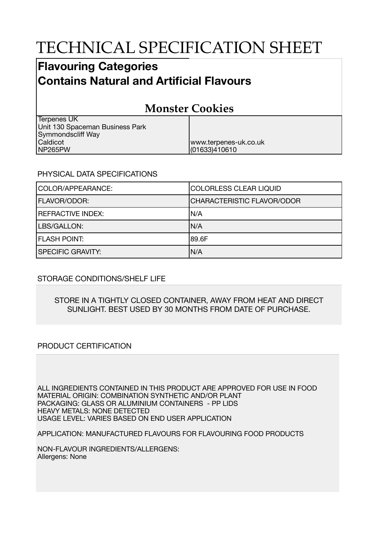# TECHNICAL SPECIFICATION SHEET

## **Flavouring Categories Contains Natural and Artificial Flavours**

## **Monster Cookies**

| Terpenes UK                     |                       |
|---------------------------------|-----------------------|
| Unit 130 Spaceman Business Park |                       |
| Symmondscliff Way               |                       |
| <b>Caldicot</b>                 | www.terpenes-uk.co.uk |
| NP265PW                         | (01633)410610         |

### PHYSICAL DATA SPECIFICATIONS

| COLOR/APPEARANCE:        | COLORLESS CLEAR LIQUID            |
|--------------------------|-----------------------------------|
| <b>FLAVOR/ODOR:</b>      | <b>CHARACTERISTIC FLAVOR/ODOR</b> |
| <b>REFRACTIVE INDEX:</b> | IN/A                              |
| LBS/GALLON:              | N/A                               |
| <b>FLASH POINT:</b>      | 189.6F                            |
| <b>SPECIFIC GRAVITY:</b> | N/A                               |

### STORAGE CONDITIONS/SHELF LIFE

#### STORE IN A TIGHTLY CLOSED CONTAINER, AWAY FROM HEAT AND DIRECT SUNLIGHT. BEST USED BY 30 MONTHS FROM DATE OF PURCHASE.

### PRODUCT CERTIFICATION

ALL INGREDIENTS CONTAINED IN THIS PRODUCT ARE APPROVED FOR USE IN FOOD MATERIAL ORIGIN: COMBINATION SYNTHETIC AND/OR PLANT PACKAGING: GLASS OR ALUMINIUM CONTAINERS - PP LIDS HEAVY METALS: NONE DETECTED USAGE LEVEL: VARIES BASED ON END USER APPLICATION

APPLICATION: MANUFACTURED FLAVOURS FOR FLAVOURING FOOD PRODUCTS

NON-FLAVOUR INGREDIENTS/ALLERGENS: Allergens: None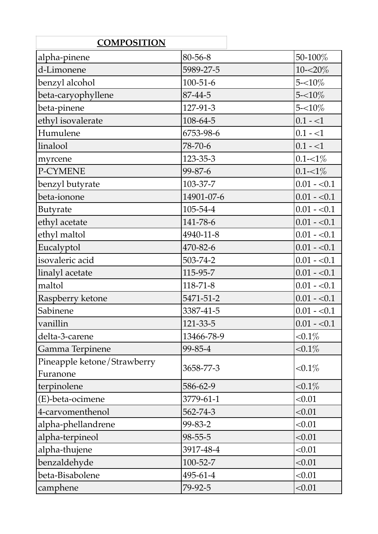| <b>COMPOSITION</b>                      |                |              |
|-----------------------------------------|----------------|--------------|
| alpha-pinene                            | 80-56-8        | 50-100%      |
| d-Limonene                              | 5989-27-5      | $10 - 20\%$  |
| benzyl alcohol                          | $100 - 51 - 6$ | $5 - 10\%$   |
| beta-caryophyllene                      | 87-44-5        | $5 - 10\%$   |
| beta-pinene                             | 127-91-3       | $5 - 10\%$   |
| ethyl isovalerate                       | 108-64-5       | $0.1 - 1$    |
| Humulene                                | 6753-98-6      | $0.1 - 1$    |
| linalool                                | 78-70-6        | $ 0.1 - 1 $  |
| myrcene                                 | 123-35-3       | $0.1 - 1\%$  |
| P-CYMENE                                | 99-87-6        | $0.1 - 1\%$  |
| benzyl butyrate                         | 103-37-7       | $0.01 - 0.1$ |
| beta-ionone                             | 14901-07-6     | $0.01 - 0.1$ |
| Butyrate                                | 105-54-4       | $0.01 - 0.1$ |
| ethyl acetate                           | 141-78-6       | $0.01 - 0.1$ |
| ethyl maltol                            | 4940-11-8      | $0.01 - 0.1$ |
| Eucalyptol                              | 470-82-6       | $0.01 - 0.1$ |
| isovaleric acid                         | 503-74-2       | $0.01 - 0.1$ |
| linalyl acetate                         | 115-95-7       | $0.01 - 0.1$ |
| maltol                                  | $118 - 71 - 8$ | $0.01 - 0.1$ |
| Raspberry ketone                        | 5471-51-2      | $0.01 - 0.1$ |
| Sabinene                                | 3387-41-5      | $0.01 - 0.1$ |
| vanillin                                | 121-33-5       | $0.01 - 0.1$ |
| delta-3-carene                          | 13466-78-9     | ${<}0.1\%$   |
| Gamma Terpinene                         | 99-85-4        | ${<}0.1\%$   |
| Pineapple ketone/Strawberry<br>Furanone | 3658-77-3      | ${<}0.1\%$   |
| terpinolene                             | 586-62-9       | ${<}0.1\%$   |
| (E)-beta-ocimene                        | 3779-61-1      | < 0.01       |
| 4-carvomenthenol                        | 562-74-3       | < 0.01       |
| alpha-phellandrene                      | 99-83-2        | < 0.01       |
| alpha-terpineol                         | $98 - 55 - 5$  | < 0.01       |
| alpha-thujene                           | 3917-48-4      | < 0.01       |
| benzaldehyde                            | 100-52-7       | < 0.01       |
| beta-Bisabolene                         | 495-61-4       | < 0.01       |
| camphene                                | 79-92-5        | < 0.01       |